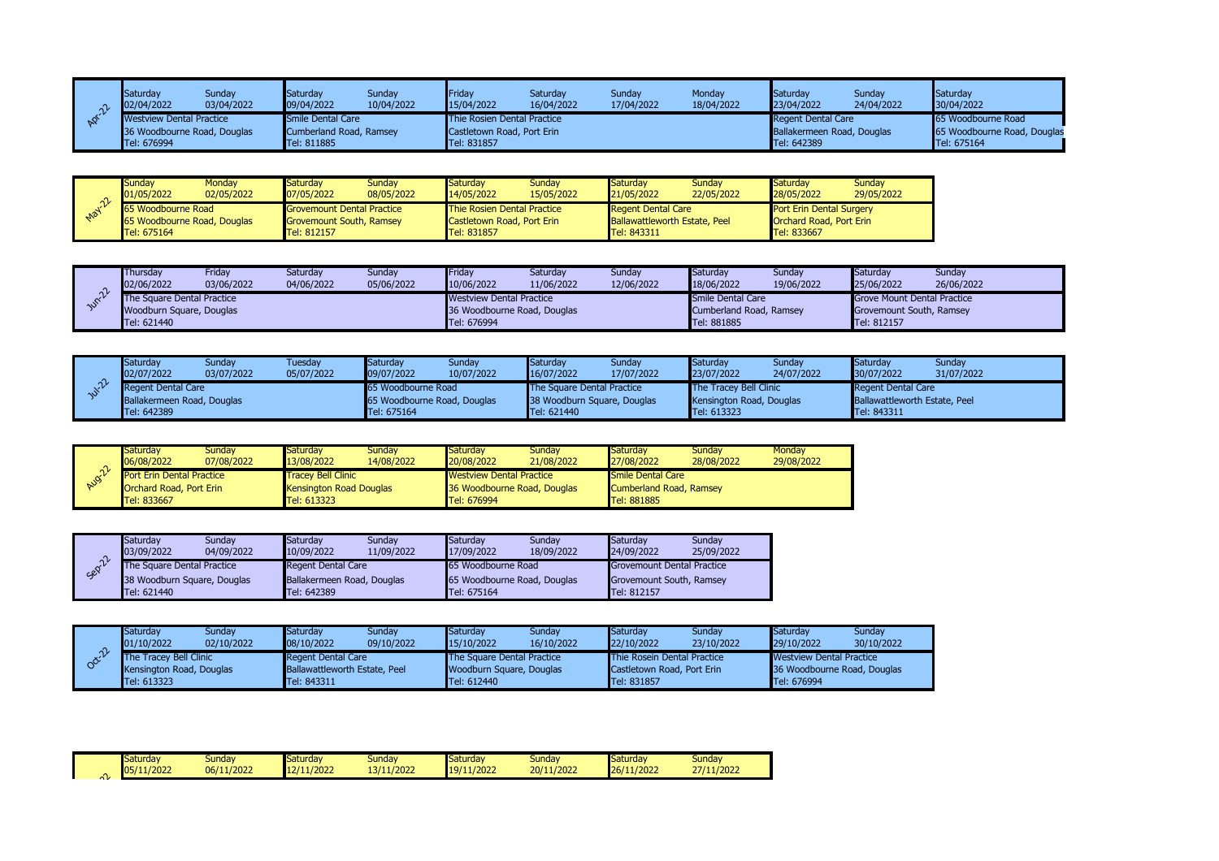|                | Saturday<br>02/04/2022          | Sunday<br>03/04/2022        | Saturday<br>09/04/2022  | Sunday<br>10/04/2022 | Fridav<br>15/04/2022        | Saturday<br>16/04/2022 | Sunday<br>17/04/2022 | Monday<br>18/04/2022 | Saturdav<br>23/04/2022     | Sunday<br>24/04/2022 | Saturday<br>30/04/2022      |
|----------------|---------------------------------|-----------------------------|-------------------------|----------------------|-----------------------------|------------------------|----------------------|----------------------|----------------------------|----------------------|-----------------------------|
| $\mathbb{R}^2$ | <b>Westview Dental Practice</b> |                             | Smile Dental Care       |                      | Thie Rosien Dental Practice |                        |                      |                      | <b>Regent Dental Care</b>  |                      | 65 Woodbourne Road          |
|                |                                 | 36 Woodbourne Road, Douglas | Cumberland Road, Ramsey |                      | Castletown Road, Port Erin  |                        |                      |                      | Ballakermeen Road, Douglas |                      | 65 Woodbourne Road, Douglas |
|                | Tel: 676994                     |                             | <b>Tel: 811885</b>      |                      | Tel: 831857                 |                        |                      |                      | Tel: 642389                |                      | Tel: 675164                 |

|          | Sundav<br>01/05/2022        | Monday<br>02/05/2022 | Saturdav<br>07/05/2022            | Sundav<br>08/05/2022 | Saturday<br>14/05/2022             | Sundav<br>15/05/2022 | Saturdav<br>21/05/2022               | Sundav<br>22/05/2022 | Saturday<br>28/05/2022          | Sundav<br>29/05/2022 |
|----------|-----------------------------|----------------------|-----------------------------------|----------------------|------------------------------------|----------------------|--------------------------------------|----------------------|---------------------------------|----------------------|
| $10^{1}$ | 65 Woodbourne Road          |                      | <b>Grovemount Dental Practice</b> |                      | <b>Thie Rosien Dental Practice</b> |                      | <b>Regent Dental Care</b>            |                      | <b>Port Erin Dental Surgery</b> |                      |
|          | 65 Woodbourne Road, Douglas |                      | <b>Grovemount South, Ramsey</b>   |                      | <b>Castletown Road, Port Erin</b>  |                      | <b>Ballawattleworth Estate, Peel</b> |                      | Orchard Road, Port Erin         |                      |
|          | Tel: 675164                 |                      | Tel: 812157                       |                      | Tel: 831857                        |                      | Tel: 843311                          |                      | Tel: 833667                     |                      |

|        | Thursdav<br>02/06/2022     | Fridav<br>03/06/2022 | Saturdav<br>04/06/2022 | <b>Sunday</b><br>05/06/2022 | Friday<br>10/06/2022            | Saturdav<br>11/06/2022 | Sundav<br>12/06/2022 | Saturdav<br>18/06/2022  | Sundav<br>19/06/2022 | Saturdav<br>25/06/2022             | Sunday<br>26/06/2022 |
|--------|----------------------------|----------------------|------------------------|-----------------------------|---------------------------------|------------------------|----------------------|-------------------------|----------------------|------------------------------------|----------------------|
| $\sim$ | The Sauare Dental Practice |                      |                        |                             | <b>Westview Dental Practice</b> |                        |                      | Smile Dental Care       |                      | <b>Grove Mount Dental Practice</b> |                      |
|        | Woodburn Square, Douglas   |                      |                        |                             | 36 Woodbourne Road, Douglas     |                        |                      | Cumberland Road, Ramsey |                      | Grovemount South, Ramsey           |                      |
|        | Tel: 621440                |                      |                        |                             | Tel: 676994                     |                        |                      | Tel: 881885             |                      | Tel: 812157                        |                      |

| Saturday<br>02/07/2022     | Sunday<br>03/07/2022 | Tuesday<br>05/07/2022 | Saturday<br>09/07/2022      | Sunday<br>10/07/2022 | Saturday<br>16/07/2022            | Sunday<br>17/07/2022 | Saturday<br>23/07/2022        | Sunday<br>24/07/2022 | Saturday<br>30/07/2022               | Sunday<br>31/07/2022 |
|----------------------------|----------------------|-----------------------|-----------------------------|----------------------|-----------------------------------|----------------------|-------------------------------|----------------------|--------------------------------------|----------------------|
| Regent Dental Care         |                      |                       | 65 Woodbourne Road          |                      | <b>The Square Dental Practice</b> |                      | <b>The Tracey Bell Clinic</b> |                      | Regent Dental Care                   |                      |
| Ballakermeen Road, Douglas |                      |                       | 65 Woodbourne Road, Douglas |                      | 38 Woodburn Square, Douglas       |                      | Kensington Road, Douglas      |                      | <b>Ballawattleworth Estate, Peel</b> |                      |
| Tel: 642389                |                      |                       | Tel: 675164                 |                      | Tel: 621440                       |                      | Tel: 613323                   |                      | Tel: 843311                          |                      |

|     | Saturdav<br>06/08/2022           | Sundav<br>07/08/2022 | Saturdav<br>13/08/2022    | Sundav<br>14/08/2022 | Saturdav<br>20/08/2022          | Sundav<br>21/08/2022        | Saturday<br>27/08/2022  | Sundav<br>28/08/2022 | Monday<br>29/08/2022 |
|-----|----------------------------------|----------------------|---------------------------|----------------------|---------------------------------|-----------------------------|-------------------------|----------------------|----------------------|
| ่^ิ | <b>Port Erin Dental Practice</b> |                      | <b>Tracey Bell Clinic</b> |                      | <b>Westview Dental Practice</b> |                             | Smile Dental Care       |                      |                      |
| 200 | <b>Orchard Road, Port Erin</b>   |                      | Kensington Road Douglas   |                      |                                 | 36 Woodbourne Road, Douglas | Cumberland Road, Ramsey |                      |                      |
|     | Tel: 833667                      |                      | Tel: 613323               |                      | Tel: 676994                     |                             | Tel: 881885             |                      |                      |

|        | Saturday<br>03/09/2022            | Sundav<br>04/09/2022 | Saturday<br>10/09/2022     | Sundav<br>11/09/2022 | Saturdav<br>17/09/2022      | Sunday<br>18/09/2022 | Saturday<br>24/09/2022     | Sunday<br>25/09/2022 |
|--------|-----------------------------------|----------------------|----------------------------|----------------------|-----------------------------|----------------------|----------------------------|----------------------|
| Sepill | <b>The Square Dental Practice</b> |                      | <b>Regent Dental Care</b>  |                      | 65 Woodbourne Road          |                      | Grovemount Dental Practice |                      |
|        | 38 Woodburn Square, Douglas       |                      | Ballakermeen Road, Douglas |                      | 65 Woodbourne Road, Douglas |                      | Grovemount South, Ramsey   |                      |
|        | Tel: 621440                       |                      | Tel: 642389                |                      | Tel: 675164                 |                      | Tel: 812157                |                      |

|        | Saturday<br>01/10/2022                                           | Sundav<br>02/10/2022 | Saturday<br>08/10/2022                                     | Sundav<br>09/10/2022 | Saturdav<br>15/10/2022                                        | Sundav<br>16/10/2022 | Saturday<br>22/10/2022                                           | Sundav<br>23/10/2022 | Saturdav<br>29/10/2022                                         | Sundav<br>30/10/2022 |
|--------|------------------------------------------------------------------|----------------------|------------------------------------------------------------|----------------------|---------------------------------------------------------------|----------------------|------------------------------------------------------------------|----------------------|----------------------------------------------------------------|----------------------|
| $\sim$ | <b>The Tracey Bell Clinic</b><br><b>Kensington Road, Douglas</b> |                      | <b>Regent Dental Care</b><br>Ballawattleworth Estate, Peel |                      | <b>The Square Dental Practice</b><br>Woodburn Square, Douglas |                      | <b>Thie Rosein Dental Practice</b><br>Castletown Road, Port Erin |                      | <b>Westview Dental Practice</b><br>36 Woodbourne Road, Douglas |                      |
|        | Tel: 613323                                                      |                      | Tel: 843311                                                |                      | Tel: 612440                                                   |                      | Tel: 831857                                                      |                      | Tel: 676994                                                    |                      |

|               | Saturdav<br>05/11/2022 | <b>Sunday</b><br>06/11/2022 | Saturday<br>12/11/2022 | Sunday<br>13/11/2022 | Saturday<br>/11/2022 | <b>Sunday</b><br>20/11/2022 | Saturdav<br>11/2022<br>126/ | <b>Sunday</b><br>27/11/2022 |  |
|---------------|------------------------|-----------------------------|------------------------|----------------------|----------------------|-----------------------------|-----------------------------|-----------------------------|--|
| $\sim$ $\sim$ |                        |                             |                        |                      |                      |                             |                             |                             |  |